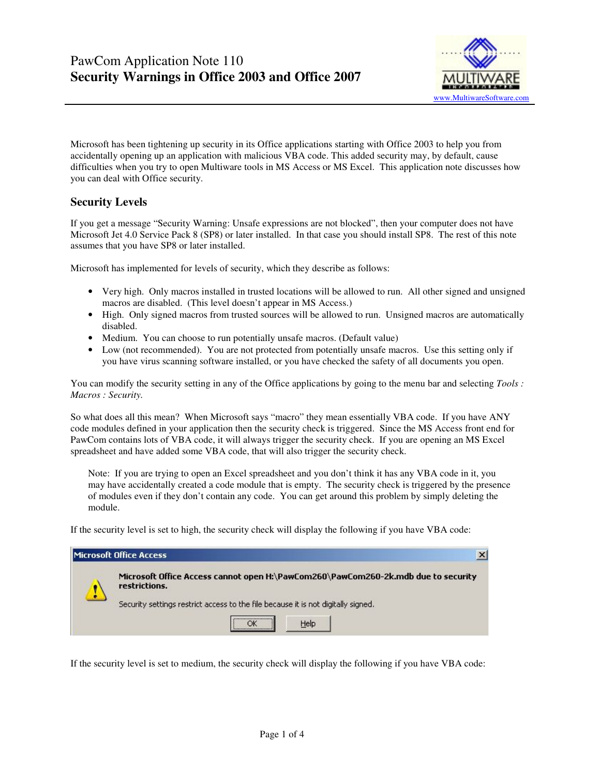

Microsoft has been tightening up security in its Office applications starting with Office 2003 to help you from accidentally opening up an application with malicious VBA code. This added security may, by default, cause difficulties when you try to open Multiware tools in MS Access or MS Excel. This application note discusses how you can deal with Office security.

## **Security Levels**

If you get a message "Security Warning: Unsafe expressions are not blocked", then your computer does not have Microsoft Jet 4.0 Service Pack 8 (SP8) or later installed. In that case you should install SP8. The rest of this note assumes that you have SP8 or later installed.

Microsoft has implemented for levels of security, which they describe as follows:

- Very high. Only macros installed in trusted locations will be allowed to run. All other signed and unsigned macros are disabled. (This level doesn't appear in MS Access.)
- High. Only signed macros from trusted sources will be allowed to run. Unsigned macros are automatically disabled.
- Medium. You can choose to run potentially unsafe macros. (Default value)
- Low (not recommended). You are not protected from potentially unsafe macros. Use this setting only if you have virus scanning software installed, or you have checked the safety of all documents you open.

You can modify the security setting in any of the Office applications by going to the menu bar and selecting *Tools* : *Macros : Security.*

So what does all this mean? When Microsoft says "macro" they mean essentially VBA code. If you have ANY code modules defined in your application then the security check is triggered. Since the MS Access front end for PawCom contains lots of VBA code, it will always trigger the security check. If you are opening an MS Excel spreadsheet and have added some VBA code, that will also trigger the security check.

Note: If you are trying to open an Excel spreadsheet and you don't think it has any VBA code in it, you may have accidentally created a code module that is empty. The security check is triggered by the presence of modules even if they don't contain any code. You can get around this problem by simply deleting the module.

If the security level is set to high, the security check will display the following if you have VBA code:

| Microsoft Office Access                                                                            |
|----------------------------------------------------------------------------------------------------|
| Microsoft Office Access cannot open H:\PawCom260\PawCom260-2k.mdb due to security<br>restrictions. |
| Security settings restrict access to the file because it is not digitally signed.                  |
| Help                                                                                               |

If the security level is set to medium, the security check will display the following if you have VBA code: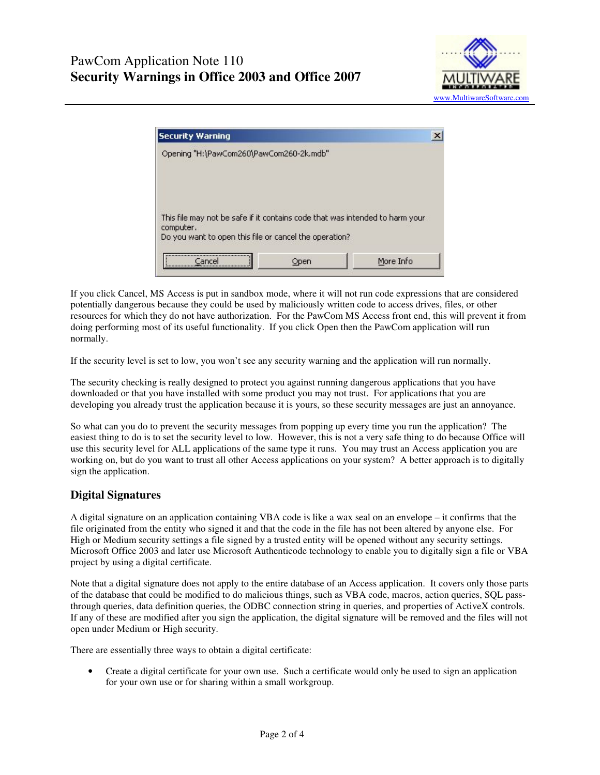



If you click Cancel, MS Access is put in sandbox mode, where it will not run code expressions that are considered potentially dangerous because they could be used by maliciously written code to access drives, files, or other resources for which they do not have authorization. For the PawCom MS Access front end, this will prevent it from doing performing most of its useful functionality. If you click Open then the PawCom application will run normally.

If the security level is set to low, you won't see any security warning and the application will run normally.

The security checking is really designed to protect you against running dangerous applications that you have downloaded or that you have installed with some product you may not trust. For applications that you are developing you already trust the application because it is yours, so these security messages are just an annoyance.

So what can you do to prevent the security messages from popping up every time you run the application? The easiest thing to do is to set the security level to low. However, this is not a very safe thing to do because Office will use this security level for ALL applications of the same type it runs. You may trust an Access application you are working on, but do you want to trust all other Access applications on your system? A better approach is to digitally sign the application.

### **Digital Signatures**

A digital signature on an application containing VBA code is like a wax seal on an envelope – it confirms that the file originated from the entity who signed it and that the code in the file has not been altered by anyone else. For High or Medium security settings a file signed by a trusted entity will be opened without any security settings. Microsoft Office 2003 and later use Microsoft Authenticode technology to enable you to digitally sign a file or VBA project by using a digital certificate.

Note that a digital signature does not apply to the entire database of an Access application. It covers only those parts of the database that could be modified to do malicious things, such as VBA code, macros, action queries, SQL passthrough queries, data definition queries, the ODBC connection string in queries, and properties of ActiveX controls. If any of these are modified after you sign the application, the digital signature will be removed and the files will not open under Medium or High security.

There are essentially three ways to obtain a digital certificate:

• Create a digital certificate for your own use. Such a certificate would only be used to sign an application for your own use or for sharing within a small workgroup.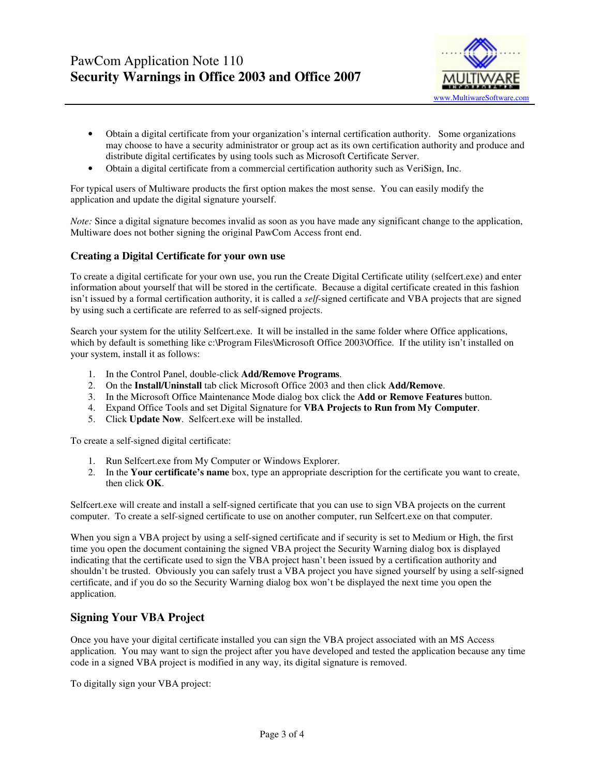

- Obtain a digital certificate from your organization's internal certification authority. Some organizations may choose to have a security administrator or group act as its own certification authority and produce and distribute digital certificates by using tools such as Microsoft Certificate Server.
- Obtain a digital certificate from a commercial certification authority such as VeriSign, Inc.

For typical users of Multiware products the first option makes the most sense. You can easily modify the application and update the digital signature yourself.

*Note:* Since a digital signature becomes invalid as soon as you have made any significant change to the application, Multiware does not bother signing the original PawCom Access front end.

#### **Creating a Digital Certificate for your own use**

To create a digital certificate for your own use, you run the Create Digital Certificate utility (selfcert.exe) and enter information about yourself that will be stored in the certificate. Because a digital certificate created in this fashion isn't issued by a formal certification authority, it is called a *self-*signed certificate and VBA projects that are signed by using such a certificate are referred to as self-signed projects.

Search your system for the utility Selfcert.exe. It will be installed in the same folder where Office applications, which by default is something like c:\Program Files\Microsoft Office 2003\Office. If the utility isn't installed on your system, install it as follows:

- 1. In the Control Panel, double-click **Add/Remove Programs**.
- 2. On the **Install/Uninstall** tab click Microsoft Office 2003 and then click **Add/Remove**.
- 3. In the Microsoft Office Maintenance Mode dialog box click the **Add or Remove Features** button.
- 4. Expand Office Tools and set Digital Signature for **VBA Projects to Run from My Computer**.
- 5. Click **Update Now**. Selfcert.exe will be installed.

To create a self-signed digital certificate:

- 1. Run Selfcert.exe from My Computer or Windows Explorer.
- 2. In the **Your certificate's name** box, type an appropriate description for the certificate you want to create, then click **OK**.

Selfcert.exe will create and install a self-signed certificate that you can use to sign VBA projects on the current computer. To create a self-signed certificate to use on another computer, run Selfcert.exe on that computer.

When you sign a VBA project by using a self-signed certificate and if security is set to Medium or High, the first time you open the document containing the signed VBA project the Security Warning dialog box is displayed indicating that the certificate used to sign the VBA project hasn't been issued by a certification authority and shouldn't be trusted. Obviously you can safely trust a VBA project you have signed yourself by using a self-signed certificate, and if you do so the Security Warning dialog box won't be displayed the next time you open the application.

### **Signing Your VBA Project**

Once you have your digital certificate installed you can sign the VBA project associated with an MS Access application. You may want to sign the project after you have developed and tested the application because any time code in a signed VBA project is modified in any way, its digital signature is removed.

To digitally sign your VBA project: